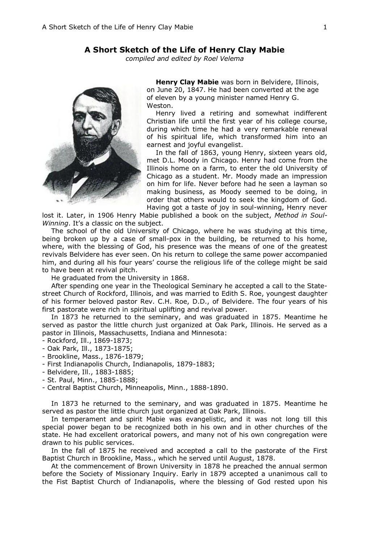## **A Short Sketch of the Life of Henry Clay Mabie**

*compiled and edited by Roel Velema*



**Henry Clay Mabie** was born in Belvidere, Illinois, on June 20, 1847. He had been converted at the age of eleven by a young minister named Henry G. Weston.

Henry lived a retiring and somewhat indifferent Christian life until the first year of his college course, during which time he had a very remarkable renewal of his spiritual life, which transformed him into an earnest and joyful evangelist.

In the fall of 1863, young Henry, sixteen years old, met D.L. Moody in Chicago. Henry had come from the Illinois home on a farm, to enter the old University of Chicago as a student. Mr. Moody made an impression on him for life. Never before had he seen a layman so making business, as Moody seemed to be doing, in order that others would to seek the kingdom of God. Having got a taste of joy in soul-winning, Henry never

lost it. Later, in 1906 Henry Mabie published a book on the subject, *Method in Soul-Winning*. It's a classic on the subject.

The school of the old University of Chicago, where he was studying at this time, being broken up by a case of small-pox in the building, be returned to his home, where, with the blessing of God, his presence was the means of one of the greatest revivals Belvidere has ever seen. On his return to college the same power accompanied him, and during all his four years' course the religious life of the college might be said to have been at revival pitch.

He graduated from the University in 1868.

After spending one year in the Theological Seminary he accepted a call to the Statestreet Church of Rockford, Illinois, and was married to Edith S. Roe, youngest daughter of his former beloved pastor Rev. C.H. Roe, D.D., of Belvidere. The four years of his first pastorate were rich in spiritual uplifting and revival power.

In 1873 he returned to the seminary, and was graduated in 1875. Meantime he served as pastor the little church just organized at Oak Park, Illinois. He served as a pastor in Illinois, Massachusetts, Indiana and Minnesota:

- Rockford, Ill., 1869-1873;
- Oak Park, Ill., 1873-1875;
- Brookline, Mass., 1876-1879;
- First Indianapolis Church, Indianapolis, 1879-1883;
- Belvidere, Ill., 1883-1885;
- St. Paul, Minn., 1885-1888;
- Central Baptist Church, Minneapolis, Minn., 1888-1890.

In 1873 he returned to the seminary, and was graduated in 1875. Meantime he served as pastor the little church just organized at Oak Park, Illinois.

In temperament and spirit Mabie was evangelistic, and it was not long till this special power began to be recognized both in his own and in other churches of the state. He had excellent oratorical powers, and many not of his own congregation were drawn to his public services.

In the fall of 1875 he received and accepted a call to the pastorate of the First Baptist Church in Brookline, Mass., which he served until August, 1878.

At the commencement of Brown University in 1878 he preached the annual sermon before the Society of Missionary Inquiry. Early in 1879 accepted a unanimous call to the Fist Baptist Church of Indianapolis, where the blessing of God rested upon his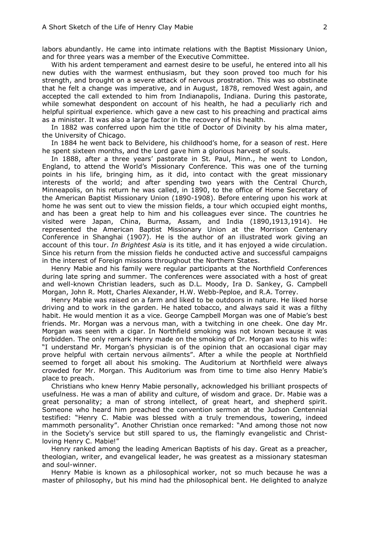labors abundantly. He came into intimate relations with the Baptist Missionary Union, and for three years was a member of the Executive Committee.

With his ardent temperament and earnest desire to be useful, he entered into all his new duties with the warmest enthusiasm, but they soon proved too much for his strength, and brought on a severe attack of nervous prostration. This was so obstinate that he felt a change was imperative, and in August, 1878, removed West again, and accepted the call extended to him from Indianapolis, Indiana. During this pastorate, while somewhat despondent on account of his health, he had a peculiarly rich and helpful spiritual experience. which gave a new cast to his preaching and practical aims as a minister. It was also a large factor in the recovery of his health.

In 1882 was conferred upon him the title of Doctor of Divinity by his alma mater, the University of Chicago.

In 1884 he went back to Belvidere, his childhood's home, for a season of rest. Here he spent sixteen months, and the Lord gave him a glorious harvest of souls.

In 1888, after a three years' pastorate in St. Paul, Minn., he went to London, England, to attend the World's Missionary Conference. This was one of the turning points in his life, bringing him, as it did, into contact with the great missionary interests of the world; and after spending two years with the Central Church, Minneapolis, on his return he was called, in 1890, to the office of Home Secretary of the American Baptist Missionary Union (1890-1908). Before entering upon his work at home he was sent out to view the mission fields, a tour which occupied eight months, and has been a great help to him and his colleagues ever since. The countries he visited were Japan, China, Burma, Assam, and India (1890,1913,1914). He represented the American Baptist Missionary Union at the Morrison Centenary Conference in Shanghai (1907). He is the author of an illustrated work giving an account of this tour. *In Brightest Asia* is its title, and it has enjoyed a wide circulation. Since his return from the mission fields he conducted active and successful campaigns in the interest of Foreign missions throughout the Northern States.

Henry Mabie and his family were regular participants at the Northfield Conferences during late spring and summer. The conferences were associated with a host of great and well-known Christian leaders, such as D.L. Moody, Ira D. Sankey, G. Campbell Morgan, John R. Mott, Charles Alexander, H.W. Webb-Peploe, and R.A. Torrey.

Henry Mabie was raised on a farm and liked to be outdoors in nature. He liked horse driving and to work in the garden. He hated tobacco, and always said it was a filthy habit. He would mention it as a vice. George Campbell Morgan was one of Mabie's best friends. Mr. Morgan was a nervous man, with a twitching in one cheek. One day Mr. Morgan was seen with a cigar. In Northfield smoking was not known because it was forbidden. The only remark Henry made on the smoking of Dr. Morgan was to his wife: "I understand Mr. Morgan's physician is of the opinion that an occasional cigar may prove helpful with certain nervous ailments". After a while the people at Northfield seemed to forget all about his smoking. The Auditorium at Northfield were always crowded for Mr. Morgan. This Auditorium was from time to time also Henry Mabie's place to preach.

Christians who knew Henry Mabie personally, acknowledged his brilliant prospects of usefulness. He was a man of ability and culture, of wisdom and grace. Dr. Mabie was a great personality; a man of strong intellect, of great heart, and shepherd spirit. Someone who heard him preached the convention sermon at the Judson Centennial testified: "Henry C. Mabie was blessed with a truly tremendous, towering, indeed mammoth personality". Another Christian once remarked: "And among those not now in the Society's service but still spared to us, the flamingly evangelistic and Christloving Henry C. Mabie!"

Henry ranked among the leading American Baptists of his day. Great as a preacher, theologian, writer, and evangelical leader, he was greatest as a missionary statesman and soul-winner.

Henry Mabie is known as a philosophical worker, not so much because he was a master of philosophy, but his mind had the philosophical bent. He delighted to analyze